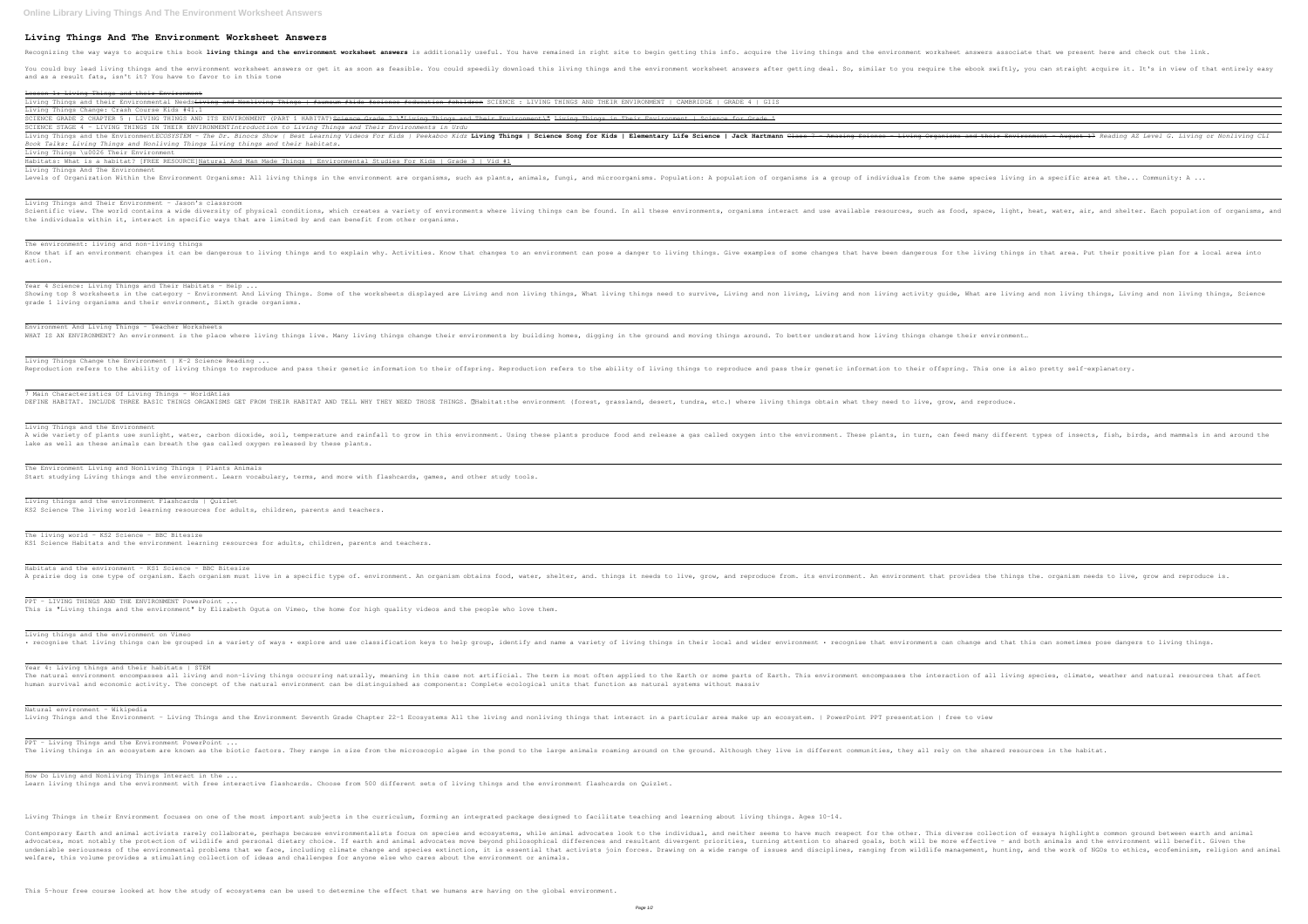## **Living Things And The Environment Worksheet Answers**

Recognizing the way ways to acquire this book living things and the environment worksheet answers is additionally useful. You have remained in right site to begin getting this info. acquire the living things and the enviro You could buy lead living things and the environment worksheet answers or get it as soon as feasible. You could speedily download this living things and the environment worksheet answers after getting deal. So, similar to

and as a result fats, isn't it? You have to favor to in this tone

Lesson 1: Living Things and their Environment Living Things and their Environmental Needs<del>Living and Nonliving Things | #aumsum #kids #science #education #children</del> SCIENCE : LIVING THINGS AND THEIR ENVIRONMENT | CAMBRIDGE | GRADE 4 | GIIS Living Things Change: Crash Course Kids #41.1 SCIENCE GRADE 2 CHAPTER 5 : LIVING THINGS AND ITS ENVIRONMENT (PART 1 HABITAT)<del>Science Grade 2 \"Living Things and Their Environment\" Living Things in Their Environment | Science for Grade 1</del> SCIENCE STAGE 4 - LIVING THINGS IN THEIR ENVIRONMENT*Introduction to Living Things and Their Environments in Urdu* Living Things and the Environment*ECOSYSTEM* - The Dr. Binocs Show | Best Learning Videos For Kids | Peekaboo Kidz Living Organisms and their Environment - August 17 Reading AZ Level G. Living or Nonliving CLI *Book Talks: Living Things and Nonliving Things Living things and their habitats.* Living Things \u0026 Their Environment Habitats: What is a habitat? [FREE RESOURCE]Natural And Man Made Things | Environmental Studies For Kids | Grade 3 | Vid #1 Living Things And The Environment Levels of Organization Within the Environment Organisms: All living things in the environment are organisms, such as plants, animals, fungi, and microorganisms. Population: A population of organisms is a group of individua Living Things and Their Environment - Jason's classroom Scientific view. The world contains a wide diversity of physical conditions, which creates a variety of environments where living things can be found. In all these environments, organisms interact and use available resourc the individuals within it, interact in specific ways that are limited by and can benefit from other organisms. The environment: living and non-living things Know that if an environment changes it can be dangerous to living things and to explain why. Activities. Know that changes to an environment can pose a danger to living things. Give examples of some changes to an environme action. Year 4 Science: Living Things and Their Habitats - Help ... Showing top 8 worksheets in the category - Environment And Living Things. Some of the worksheets displayed are Living and non living things, What living and non living and non living and non living and non living and non l grade 1 living organisms and their environment, Sixth grade organisms. Environment And Living Things - Teacher Worksheets WHAT IS AN ENVIRONMENT? An environment is the place where living things live. Many living things change their environments by building homes, digging in the ground and moving things around. To better understand how living Living Things Change the Environment | K-2 Science Reading ... Reproduction refers to the ability of living things to reproduce and pass their genetic information to the ability of living things to reproduce and pass their genetic information to their offspring. This one is also prett 7 Main Characteristics Of Living Things - WorldAtlas DEFINE HABITAT. INCLUDE THREE BASIC THINGS ORGANISMS GET FROM THEIR HABITAT AND TELL WHY THEY NEED THOSE THINGS. Mabitat:the environment (forest, grassland, desert, tundra, etc.) where living things obtain what they need t Living Things and the Environment A wide variety of plants use sunlight, water, carbon dioxide, soil, temperature and rainfall to grow in this environment. These plants, in turn, can feed many different types of insects, fish, birds, and mammals in and aro lake as well as these animals can breath the gas called oxygen released by these plants. The Environment Living and Nonliving Things | Plants Animals Start studying Living things and the environment. Learn vocabulary, terms, and more with flashcards, games, and other study tools. Living things and the environment Flashcards | Quizlet KS2 Science The living world learning resources for adults, children, parents and teachers. The living world - KS2 Science - BBC Bitesize KS1 Science Habitats and the environment learning resources for adults, children, parents and teachers. Habitats and the environment - KS1 Science - BBC Bitesize A prairie dog is one type of organism. Each organism must live in a specific type of. environment. An organism obtains food, water, shelter, and. things it needs to live, grow, and reproduce from. its environment. An envir PPT - LIVING THINGS AND THE ENVIRONMENT PowerPoint ... This is "Living things and the environment" by Elizabeth Oguta on Vimeo, the home for high quality videos and the people who love them. Living things and the environment on Vimeo · recognise that living things can be grouped in a variety of ways · explore and use classification keys to help group, identify and name a variety of living things in their local and wider environments can change and that Year 4: Living things and their habitats | STEM The natural environment encompasses all living and non-living things occurring naturally, meaning in this case not artificial. The term is most often applied to the Earth. This environment encompasses the interaction of al human survival and economic activity. The concept of the natural environment can be distinguished as components: Complete ecological units that function as natural systems without massiv Natural environment - Wikipedia Living Things and the Environment - Living Things and the Environment Seventh Grade Chapter 22-1 Ecosystems All the living and nonliving things that interact in a particular area make up an ecosystem. | PowerPoint PPT pres PPT - Living Things and the Environment PowerPoint ... The living things in an ecosystem are known as the biotic factors. They range in size from the microscopic algae in the pond to the large animals roaming around. Although they live in different communities, they all rely o How Do Living and Nonliving Things Interact in the ... Learn living things and the environment with free interactive flashcards. Choose from 500 different sets of living things and the environment flashcards on Quizlet. Living Things in their Environment focuses on one of the most important subjects in the curriculum, forming an integrated package designed to facilitate teaching and learning about living things. Ages 10-14. Contemporary Earth and animal activists rarely collaborate, perhaps because environmentalists focus on species and ecosystems, while animal advocates look to the individual, and neither seems to have much respect for the o advocates, most notably the protection of wildlife and personal dietary choice. If earth and animal advocates move beyond philosophical differences and resultant divergent priorities, both will be more effective - and both undeniable seriousness of the environmental problems that we face, including climate change and species extinction, it is essential that activists join forces. Drawing on a wide rangement, hunting, and the work of NGOs to welfare, this volume provides a stimulating collection of ideas and challenges for anyone else who cares about the environment or animals.

This 5-hour free course looked at how the study of ecosystems can be used to determine the effect that we humans are having on the global environment.